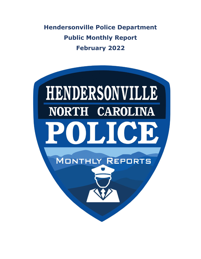**Hendersonville Police Department Public Monthly Report February 2022**

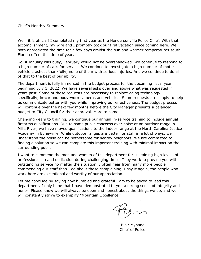Chief's Monthly Summary

Well, it is official! I completed my first year as the Hendersonville Police Chief. With that accomplishment, my wife and I promptly took our first vacation since coming here. We both appreciated the time for a few days amidst the sun and warmer temperatures south Florida offers this time of year.

So, if January was busy, February would not be overshadowed. We continue to respond to a high number of calls for service. We continue to investigate a high number of motor vehicle crashes; thankfully, none of them with serious injuries. And we continue to do all of that to the best of our ability.

The department is fully immersed in the budget process for the upcoming fiscal year beginning July 1, 2022. We have several asks over and above what was requested in years past. Some of these requests are necessary to replace aging technology; specifically, in-car and body-worn cameras and vehicles. Some requests are simply to help us communicate better with you while improving our effectiveness. The budget process will continue over the next few months before the City Manager presents a balanced budget to City Council for their approval. More to come…

Changing gears to training, we continue our annual in-service training to include annual firearms qualifications. Due to some public concerns over noise at an outdoor range in Mills River, we have moved qualifications to the indoor range at the North Carolina Justice Academy in Edneyville. While outdoor ranges are better for staff in a lot of ways, we understand the noise can be bothersome for nearby neighbors. We are committed to finding a solution so we can complete this important training with minimal impact on the surrounding public.

I want to commend the men and women of this department for sustaining high levels of professionalism and dedication during challenging times. They work to provide you with outstanding service no matter the situation. I often hear from many more people commending our staff than I do about those complaining. I say it again, the people who work here are exceptional and worthy of our appreciation.

Let me conclude by saying how humbled and grateful I am to be asked to lead this department. I only hope that I have demonstrated to you a strong sense of integrity and honor. Please know we will always be open and honest about the things we do, and we will constantly strive to exemplify "Mountain Excellence."

 Blair Myhand, Chief of Police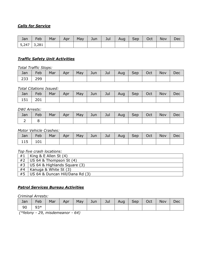# *Calls for Service*

| Jan           | Feb | Mar | Apr | May | Jun | Jul | Aug | Sep | Oct | <b>Nov</b> | Dec |
|---------------|-----|-----|-----|-----|-----|-----|-----|-----|-----|------------|-----|
| $5,247$ 3,281 |     |     |     |     |     |     |     |     |     |            |     |

### *Traffic Safety Unit Activities*

*Total Traffic Stops:*

| Jan | Feb | Mar | Apr <sup>1</sup> | May | Jun | $\bigcup$ ul | Aug   Sep   Oct | <b>Nov</b> | Dec |
|-----|-----|-----|------------------|-----|-----|--------------|-----------------|------------|-----|
| 233 | 299 |     |                  |     |     |              |                 |            |     |

#### *Total Citations Issued:*

| Jan       | Feb | Mar   Apr |  | May   Jun   Jul   Aug   Sep   Oct |  | Nov | Dec |
|-----------|-----|-----------|--|-----------------------------------|--|-----|-----|
| $151$ 201 |     |           |  |                                   |  |     |     |

#### *DWI Arrests:*

| Jan | Feb | Mar   Apr |  | May   Jun   Jul   Aug   Sep   Oct |  | Nov | Dec |
|-----|-----|-----------|--|-----------------------------------|--|-----|-----|
|     |     |           |  |                                   |  |     |     |

#### *Motor Vehicle Crashes:*

| Jan | Feb |  |  | Mar   Apr   May   Jun   Jul   Aug   Sep   Oct |  | Nov | Dec |
|-----|-----|--|--|-----------------------------------------------|--|-----|-----|
| 115 | 101 |  |  |                                               |  |     |     |

#### *Top five crash locations:*

| #1 | King & E Allen St $(4)$         |
|----|---------------------------------|
| #2 | US 64 & Thompson St (4)         |
| #3 | US 64 & Highlands Square (3)    |
| #4 | Kanuga & White St (3)           |
| #5 | US 64 & Duncan Hill/Dana Rd (3) |

### *Patrol Services Bureau Activities*

*Criminal Arrests:*

| Jan | Feb         |  |  | Mar   Apr   May   Jun   Jul   Aug   Sep   Oct |  | Nov | Dec |
|-----|-------------|--|--|-----------------------------------------------|--|-----|-----|
| 90  | $\vert$ 93* |  |  |                                               |  |     |     |

*(\*felony - 29, misdemeanor - 64)*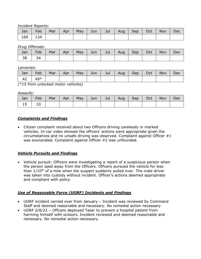#### *Incident Reports:*

| Jan | Feb | Mar | Apr |  | May   Jun   Jul | Aug | Sep | Oct | <b>Nov</b> | Dec |
|-----|-----|-----|-----|--|-----------------|-----|-----|-----|------------|-----|
| 169 | 134 |     |     |  |                 |     |     |     |            |     |

*Drug Offenses:*

| Jan | Feb | Mar | Apr | May | Jun | Jul | Aug | Sep | Oct | Nov | Dec |
|-----|-----|-----|-----|-----|-----|-----|-----|-----|-----|-----|-----|
| 38  | 34  |     |     |     |     |     |     |     |     |     |     |

*Larcenies:*

| Jan | Feb   | Mar | Apr | May $\ $ | Jun $\vert$ | Jul | Aug   Sep | Oct | Nov | Dec |
|-----|-------|-----|-----|----------|-------------|-----|-----------|-----|-----|-----|
| 42  | $49*$ |     |     |          |             |     |           |     |     |     |

*(\*15 from unlocked motor vehicles)*

#### *Assaults:*

| Jan | Feb | Mar | Apr | May | Jun | Jul | Aug | Sep | Oct | Nov | Dec |
|-----|-----|-----|-----|-----|-----|-----|-----|-----|-----|-----|-----|
| ᅩJ  | ⊥∪  |     |     |     |     |     |     |     |     |     |     |

### *Complaints and Findings*

• Citizen complaint received about two Officers driving carelessly in marked vehicles. In-car video showed the officers' actions were appropriate given the circumstances and no unsafe driving was observed. Complaint against Officer #1 was exonerated. Complaint against Officer #2 was unfounded.

### *Vehicle Pursuits and Findings*

• Vehicle pursuit: Officers were investigating a report of a suspicious person when the person sped away from the Officers. Officers pursued the vehicle for less than  $1/10^{th}$  of a mile when the suspect suddenly pulled over. The male driver was taken into custody without incident. Officer's actions deemed appropriate and compliant with policy.

# *Use of Reasonable Force (UORF) Incidents and Findings*

- UORF incident carried over from January Incident was reviewed by Command Staff and deemed reasonable and necessary. No remedial action necessary.
- UORF 2/8/22 Officers deployed Taser to prevent a hospital patient from harming himself with scissors. Incident reviewed and deemed reasonable and necessary. No remedial action necessary.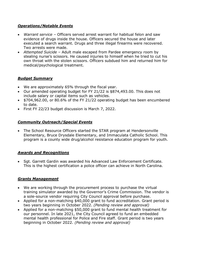### *Operations/Notable Events*

- *Warrant service –* Officers served arrest warrant for habitual felon and saw evidence of drugs inside the house. Officers secured the house and later executed a search warrant. Drugs and three illegal firearms were recovered. Two arrests were made.
- *Attempted Suicide* Adult male escaped from Pardee emergency room by stealing nurse's scissors. He caused injuries to himself when he tried to cut his own throat with the stolen scissors. Officers subdued him and returned him for medical/psychological treatment.

### *Budget Summary*

- We are approximately 65% through the fiscal year.
- Our amended operating budget for FY 21/22 is \$874,493.00. This does not include salary or capital items such as vehicles.
- \$704,962.00, or 80.6% of the FY 21/22 operating budget has been encumbered to date.
- First FY 22/23 budget discussion is March 7, 2022.

# *Community Outreach/Special Events*

• The School Resource Officers started the STAR program at Hendersonville Elementary, Bruce Drysdale Elementary, and Immaculata Catholic School. This program is a county wide drug/alcohol resistance education program for youth.

### *Awards and Recognitions*

• Sgt. Garrett Gardin was awarded his Advanced Law Enforcement Certificate. This is the highest certification a police officer can achieve in North Carolina.

# *Grants Management*

- We are working through the procurement process to purchase the virtual training simulator awarded by the Governor's Crime Commission. The vendor is a sole-source vendor requiring City Council approval before purchase.
- Applied for a non-matching \$40,000 grant to fund accreditation. Grant period is two years beginning in October 2022. *(Pending review and approval)*
- Applied for a non-matching \$50,000 grant to fund mental health treatment for our personnel. In late 2021, the City Council agreed to fund an embedded mental health professional for Police and Fire staff. Grant period is two years beginning in October 2022. *(Pending review and approval)*